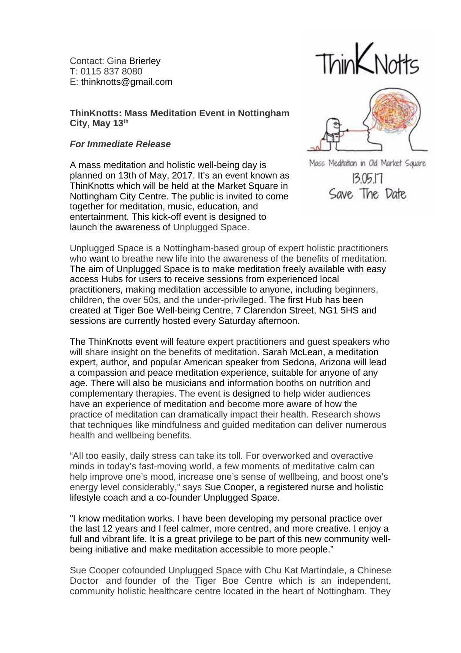Contact: Gina Brierley T: 0115 837 8080 E: [thinknotts@gmail.com](mailto:thinknotts@gmail.com)

**ThinKnotts: Mass Meditation Event in Nottingham City, May 13th**

## *For Immediate Release*

A mass meditation and holistic well-being day is planned on 13th of May, 2017. It's an event known as ThinKnotts which will be held at the Market Square in Nottingham City Centre. The public is invited to come together for meditation, music, education, and entertainment. This kick-off event is designed to launch the awareness of Unplugged Space.

 $\text{Think Notts}$ 



Mass Meditation in Old Market Square  $3.05.17$ Save The Date

Unplugged Space is a Nottingham-based group of expert holistic practitioners who want to breathe new life into the awareness of the benefits of meditation. The aim of Unplugged Space is to make meditation freely available with easy access Hubs for users to receive sessions from experienced local practitioners, making meditation accessible to anyone, including beginners, children, the over 50s, and the under-privileged. The first Hub has been created at Tiger Boe Well-being Centre, 7 Clarendon Street, NG1 5HS and sessions are currently hosted every Saturday afternoon.

The ThinKnotts event will feature expert practitioners and guest speakers who will share insight on the benefits of meditation. Sarah McLean, a meditation expert, author, and popular American speaker from Sedona, Arizona will lead a compassion and peace meditation experience, suitable for anyone of any age. There will also be musicians and information booths on nutrition and complementary therapies. The event is designed to help wider audiences have an experience of meditation and become more aware of how the practice of meditation can dramatically impact their health. Research shows that techniques like mindfulness and guided meditation can deliver numerous health and wellbeing benefits.

"All too easily, daily stress can take its toll. For overworked and overactive minds in today's fast-moving world, a few moments of meditative calm can help improve one's mood, increase one's sense of wellbeing, and boost one's energy level considerably," says Sue Cooper, a registered nurse and holistic lifestyle coach and a co-founder Unplugged Space.

"I know meditation works. I have been developing my personal practice over the last 12 years and I feel calmer, more centred, and more creative. I enjoy a full and vibrant life. It is a great privilege to be part of this new community wellbeing initiative and make meditation accessible to more people."

Sue Cooper cofounded Unplugged Space with Chu Kat Martindale, a Chinese Doctor and founder of the Tiger Boe Centre which is an independent, community holistic healthcare centre located in the heart of Nottingham. They